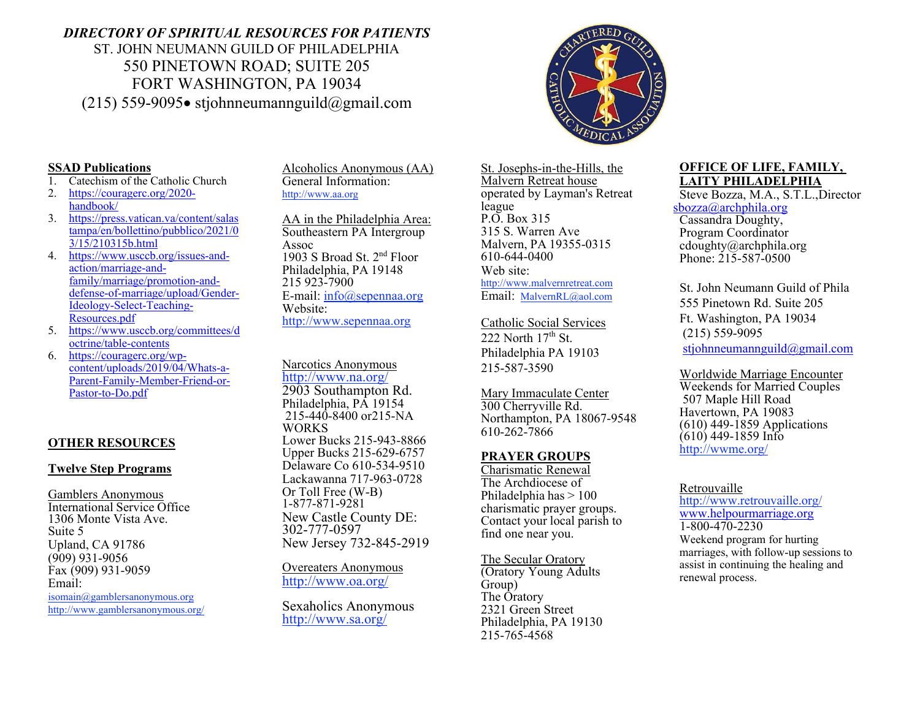# *DIRECTORY OF SPIRITUAL RESOURCES FOR PATIENTS*

ST. JOHN NEUMANN GUILD OF PHILADELPHIA 550 PINETOWN ROAD; SUITE 205 FORT WASHINGTON, PA 19034 (215) 559-9095• stjohnneumannguild@gmail.com



# **SSAD Publications**

- 1. Catechism of the Catholic Church<br>2. https://couragerc.org/2020-
- [https://couragerc.org/2020](https://couragerc.org/2020-handbook/) [handbook/](https://couragerc.org/2020-handbook/)
- 3. [https://press.vatican.va/content/salas](https://press.vatican.va/content/salastampa/en/bollettino/pubblico/2021/03/15/210315b.html) [tampa/en/bollettino/pubblico/2021/0](https://press.vatican.va/content/salastampa/en/bollettino/pubblico/2021/03/15/210315b.html)  $3/15/210315$ b.html
- 4. [https://www.usccb.org/issues-and](https://www.usccb.org/issues-and-action/marriage-and-family/marriage/promotion-and-defense-of-marriage/upload/Gender-Ideology-Select-Teaching-Resources.pdf)[action/marriage-and](https://www.usccb.org/issues-and-action/marriage-and-family/marriage/promotion-and-defense-of-marriage/upload/Gender-Ideology-Select-Teaching-Resources.pdf)[family/marriage/promotion-and](https://www.usccb.org/issues-and-action/marriage-and-family/marriage/promotion-and-defense-of-marriage/upload/Gender-Ideology-Select-Teaching-Resources.pdf)[defense-of-marriage/upload/Gender-](https://www.usccb.org/issues-and-action/marriage-and-family/marriage/promotion-and-defense-of-marriage/upload/Gender-Ideology-Select-Teaching-Resources.pdf)[Ideology-Select-Teaching-](https://www.usccb.org/issues-and-action/marriage-and-family/marriage/promotion-and-defense-of-marriage/upload/Gender-Ideology-Select-Teaching-Resources.pdf)[Resources.pdf](https://www.usccb.org/issues-and-action/marriage-and-family/marriage/promotion-and-defense-of-marriage/upload/Gender-Ideology-Select-Teaching-Resources.pdf)
- 5. [https://www.usccb.org/committees/d](https://www.usccb.org/committees/doctrine/table-contents) [octrine/table-contents](https://www.usccb.org/committees/doctrine/table-contents)
- 6. [https://couragerc.org/wp](https://couragerc.org/wp-content/uploads/2019/04/Whats-a-Parent-Family-Member-Friend-or-Pastor-to-Do.pdf)[content/uploads/2019/04/Whats-a-](https://couragerc.org/wp-content/uploads/2019/04/Whats-a-Parent-Family-Member-Friend-or-Pastor-to-Do.pdf)[Parent-Family-Member-Friend-or-](https://couragerc.org/wp-content/uploads/2019/04/Whats-a-Parent-Family-Member-Friend-or-Pastor-to-Do.pdf)[Pastor-to-Do.pdf](https://couragerc.org/wp-content/uploads/2019/04/Whats-a-Parent-Family-Member-Friend-or-Pastor-to-Do.pdf)

# **OTHER RESOURCES**

# **Twelve Step Programs**

Gamblers Anonymous International Service Office 1306 Monte Vista Ave. Suite 5 Upland, CA 91786 (909) 931-9056 Fax (909) 931-9059 Email: [isomain@gamblersanonymous.org](mailto:isomain@gamblersanonymous.org) <http://www.gamblersanonymous.org/> Alcoholics Anonymous (AA) General Information: http://www.aa.org

AA in the Philadelphia Area: Southeastern PA Intergroup Assoc 1903 S Broad St. 2nd Floor Philadelphia, PA 19148 215 923-7900 E-mail: [info@sepennaa.org](mailto:info@sepennaa.org) Website: [http://www.sepennaa.org](http://www.sepennaa.org/)

Narcotics Anonymous <http://www.na.org/> 2903 Southampton Rd. Philadelphia, PA 19154 215-440-8400 or215-NA WORKS Lower Bucks 215-943-8866 Upper Bucks 215-629-6757 Delaware Co 610-534-9510 Lackawanna 717-963-0728 Or Toll Free (W-B) 1-877-871-9281 New Castle County DE: 302-777-0597 New Jersey 732-845-2919

Overeaters Anonymous <http://www.oa.org/>

Sexaholics Anonymous <http://www.sa.org/>

St. Josephs-in-the-Hills, the Malvern Retreat house operated by Layman's Retreat league P.O. Box 315 315 S. Warren Ave Malvern, PA 19355-0315 610-644-0400 Web site: [http://www.malvernretreat.com](http://www.malvernretreat.com/) Email: [MalvernRL@aol.com](mailto:MalvernRL@aol.com)

 Catholic Social Services 222 North  $17<sup>th</sup>$  St. Philadelphia PA 19103 215-587-3590

Mary Immaculate Center 300 Cherryville Rd. Northampton, PA 18067-9548 610-262-7866

# **PRAYER GROUPS**

Charismatic Renewal The Archdiocese of Philadelphia has > 100 charismatic prayer groups. Contact your local parish to find one near you.

The Secular Oratory (Oratory Young Adults Group) The Oratory 2321 Green Street Philadelphia, PA 19130 215-765-4568

# **OFFICE OF LIFE, FAMILY, LAITY PHILADELPHIA**

Steve Bozza, M.A., S.T.L.,Director [sbozza@archphila.org](mailto:sbozza@archphila.org)

Cassandra Doughty, Program Coordinator cdoughty@archphila.org Phone: 215-587-0500

St. John Neumann Guild of Phila 555 Pinetown Rd. Suite 205 Ft. Washington, PA 19034 (215) 559-9095 [stjohnneumannguild@gmail.com](mailto:stjohnneumannguild@gmail.com)

Worldwide Marriage Encounter Weekends for Married Couples 507 Maple Hill Road Havertown, PA 19083 (610) 449-1859 Applications  $(610)$  449-1859 Info <http://wwme.org/>

# Retrouvaille

<http://www.retrouvaille.org/> [www.helpourmarriage.org](http://www.helpourmarriage.org/) 1-800-470-2230 Weekend program for hurting marriages, with follow-up sessions to

assist in continuing the healing and renewal process.